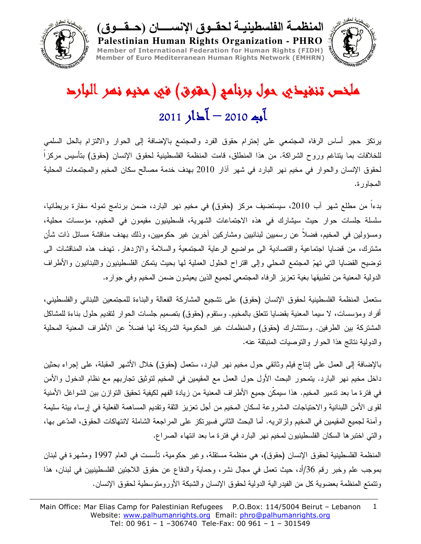



ملخص تنفيخي حول برنامج (حقوق) في مخيو نصر البارد  $2011$  ) $12 - 2010$  )

Palestinian Human Rights Organization - PHRO

يرنكز حجر أساس الرفاه المجتمعي على إحترام حقوق الفرد والمجتمع بالإضافة إلى الحوار والالتزام بالحل السلمى للخلافات بما يتناغم وروح الشراكة. من هذا المنطلق، قامت المنظمة الفلسطينية لحقوق الإنسان (حقوق) بتأسيس مركزاً لحقوق الإنسان والحوار في مخيم نهر البارد في شهر أذار 2010 بهدف خدمة مصالح سكان المخيم والمجتمعات المحلية المجاور ة.

بدءاً من مطلع شهر أب 2010، سيستضيف مركز (حقوق) في مخيم نهر البارد، ضمن برنامج تموله سفارة بريطانيا، سلسلة جلسات حوار حيث سيشارك في هذه الاجتماعات الشهرية، فلسطينيون مقيمون في المخيم، مؤسسات محلية، ومسؤولين في المخيم، فضلاً عن رسميين لبنانيين ومشاركين أخرين غير حكوميين، وذلك بهدف مناقشة مسائل ذات شأن مشترك، من فضايا اجتماعية واقتصادية الى مواضيع الرعاية المجتمعية والسلامة والازدهار. تهدف هذه المناقشات الى نوضيح القضايا التي تهمّ المجتمع المحلي وإلى اقتراح الحلول العملية لها بحيث يتمكن الفلسطينيون واللبنانيون والأطراف الدولية المعنية من تطبيقها بغية تعزيز الرفاه المجتمعي لجميع الذين يعيشون ضمن المخيم وفي جواره.

ستعمل المنظمة الفلسطينية لحقوق الإنسان (حقوق) على تشجيع المشاركة الفعالة والبناءة للمجتمعين اللبناني والفلسطيني، أفراد ومؤسسات، لا سيما المعنية بقضايا نتعلق بالمخيم. وسنقوم (حقوق) بتصميم جلسات الحوار لنقديم حلول بناءة للمشاكل المشتركة بين الطرفين. وستتشارك (حقوق) والمنظمات غير الحكومية الشريكة لمها فضلاً عن الأطراف المعنية المحلية و الدولية نتائج هذا الحوار والتوصيات المنبثقة عنه.

بالإضافة إلى العمل على إنتاج فيلم وثائقي حول مخيم نهر البارد، ستعمل (حقوق) خلال الأشهر المقبلة، على إجراء بحثين داخل مخيم نهر البارد. يتمحور البحث الأول حول العمل مع المقيمين في المخيم لتوثيق تجاربهم مع نظام الدخول والأمن في فترة ما بعد ندمير المخيم. هذا سيمكِّن جميع الأطراف المعنية من زيادة الفهم لكيفية تحقيق التوازن بين الشواغل الأمنية لقوى الأمن اللبنانية والاحتياجات المشروعة لسكان المخيم من أجل تعزيز الثقة وتقديم المساهمة الفعلية في إرساء ببئة سليمة وأمنة لجميع المقيمين في المخيم ولزائريه. أما البحث الثاني فسيرتكز على المراجعة الشاملة لانتهاكات الحقوق، المدّعى بها، والتي اختبرها السكان الفلسطينيون لمخيم نهر البارد في فترة ما بعد انتهاء الصراع.

المنظمة الفلسطينية لحقوق الإنسان (حقوق)، هي منظمة مستقلة، وغير حكومية، نأسست في العام 1997 ومشهرة في لبنان بموجب علم وخبر رقم 36/أد، حيث تعمل في مجال نشر، وحماية والدفاع عن حقوق اللاجئين الفلسطينيين في لبنان، هذا وتتمتع المنظمة بعضوية كل من الفيدر الية الدولية لحقوق الإنسان والشبكة الأور ومتوسطية لحقوق الإنسان.